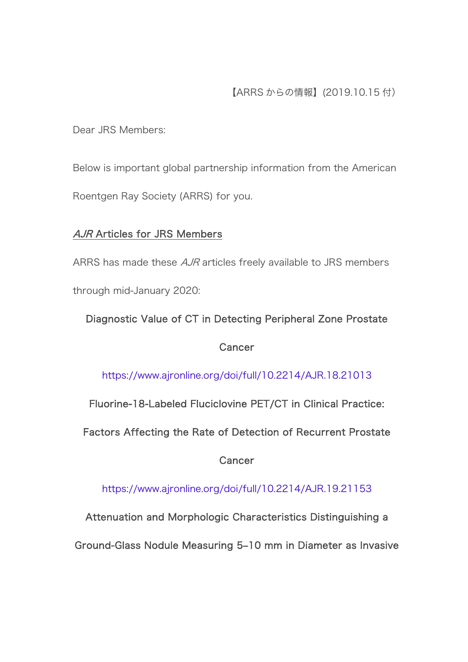## 【ARRS からの情報】(2019.10.15 付)

Dear JRS Members:

Below is important global partnership information from the American Roentgen Ray Society (ARRS) for you.

### AJR Articles for JRS Members

ARRS has made these *AJR* articles freely available to JRS members through mid-January 2020:

# Diagnostic Value of CT in Detecting Peripheral Zone Prostate

**Cancer** 

<https://www.ajronline.org/doi/full/10.2214/AJR.18.21013>

Fluorine-18-Labeled Fluciclovine PET/CT in Clinical Practice:

Factors Affecting the Rate of Detection of Recurrent Prostate

**Cancer** 

<https://www.ajronline.org/doi/full/10.2214/AJR.19.21153>

Attenuation and Morphologic Characteristics Distinguishing a

Ground-Glass Nodule Measuring 5–10 mm in Diameter as Invasive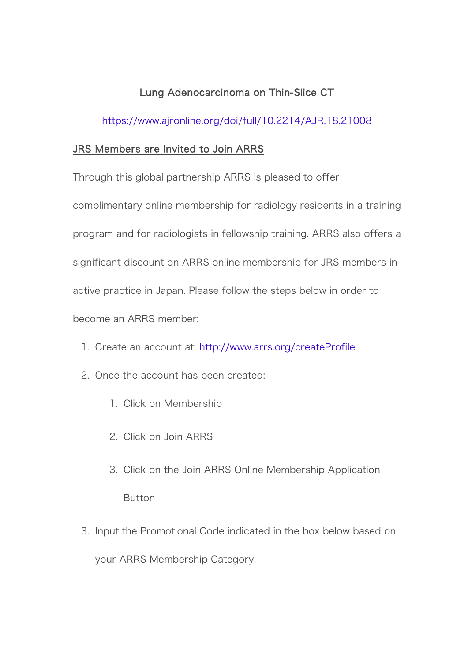### Lung Adenocarcinoma on Thin-Slice CT

#### <https://www.ajronline.org/doi/full/10.2214/AJR.18.21008>

#### JRS Members are Invited to Join ARRS

Through this global partnership ARRS is pleased to offer

complimentary online membership for radiology residents in a training program and for radiologists in fellowship training. ARRS also offers a significant discount on ARRS online membership for JRS members in active practice in Japan. Please follow the steps below in order to become an ARRS member:

- 1. Create an account at: <http://www.arrs.org/createProfile>
- 2. Once the account has been created:
	- 1. Click on Membership
	- 2. Click on Join ARRS
	- 3. Click on the Join ARRS Online Membership Application Button
- 3. Input the Promotional Code indicated in the box below based on your ARRS Membership Category.